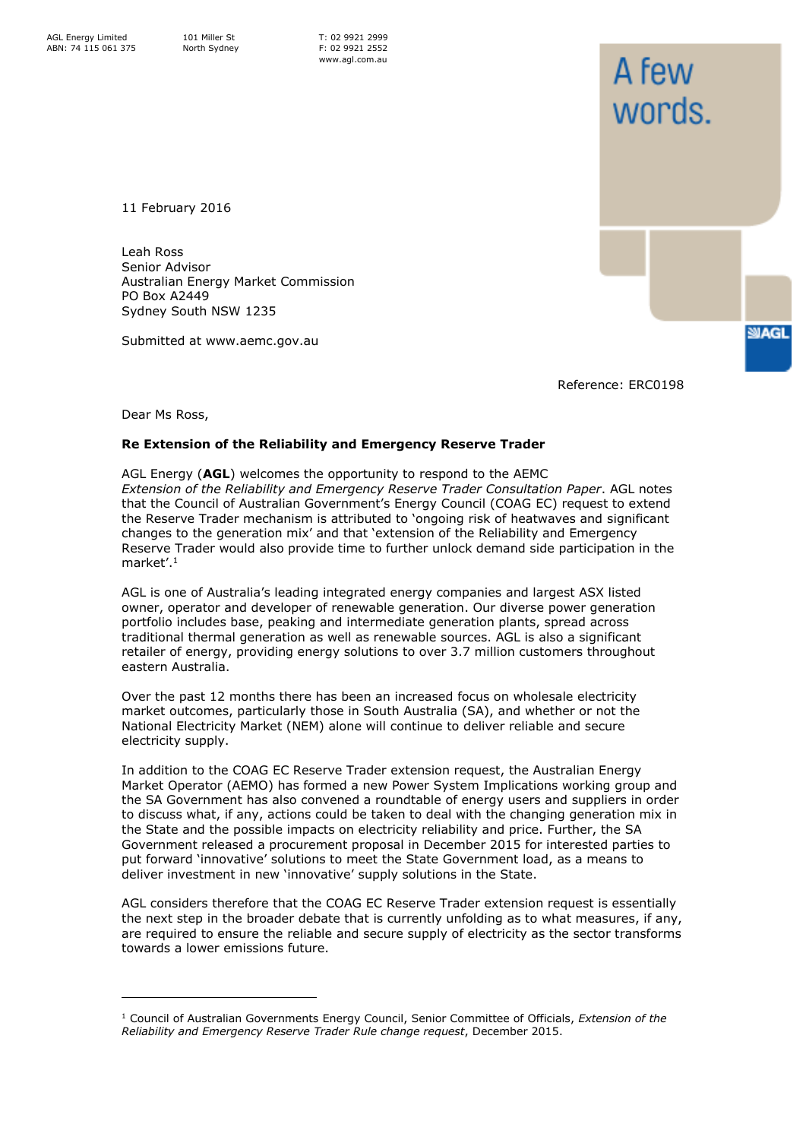11 February 2016

Leah Ross Senior Advisor Australian Energy Market Commission PO Box A2449 Sydney South NSW 1235

Submitted at www.aemc.gov.au

Reference: ERC0198

A few

words.

**SIAGL** 

Dear Ms Ross,

ł

## **Re Extension of the Reliability and Emergency Reserve Trader**

AGL Energy (**AGL**) welcomes the opportunity to respond to the AEMC *Extension of the Reliability and Emergency Reserve Trader Consultation Paper*. AGL notes that the Council of Australian Government's Energy Council (COAG EC) request to extend the Reserve Trader mechanism is attributed to 'ongoing risk of heatwaves and significant changes to the generation mix' and that 'extension of the Reliability and Emergency Reserve Trader would also provide time to further unlock demand side participation in the market'.<sup>1</sup>

AGL is one of Australia's leading integrated energy companies and largest ASX listed owner, operator and developer of renewable generation. Our diverse power generation portfolio includes base, peaking and intermediate generation plants, spread across traditional thermal generation as well as renewable sources. AGL is also a significant retailer of energy, providing energy solutions to over 3.7 million customers throughout eastern Australia.

Over the past 12 months there has been an increased focus on wholesale electricity market outcomes, particularly those in South Australia (SA), and whether or not the National Electricity Market (NEM) alone will continue to deliver reliable and secure electricity supply.

In addition to the COAG EC Reserve Trader extension request, the Australian Energy Market Operator (AEMO) has formed a new Power System Implications working group and the SA Government has also convened a roundtable of energy users and suppliers in order to discuss what, if any, actions could be taken to deal with the changing generation mix in the State and the possible impacts on electricity reliability and price. Further, the SA Government released a procurement proposal in December 2015 for interested parties to put forward 'innovative' solutions to meet the State Government load, as a means to deliver investment in new 'innovative' supply solutions in the State.

AGL considers therefore that the COAG EC Reserve Trader extension request is essentially the next step in the broader debate that is currently unfolding as to what measures, if any, are required to ensure the reliable and secure supply of electricity as the sector transforms towards a lower emissions future.

<sup>1</sup> Council of Australian Governments Energy Council, Senior Committee of Officials, *Extension of the Reliability and Emergency Reserve Trader Rule change request*, December 2015.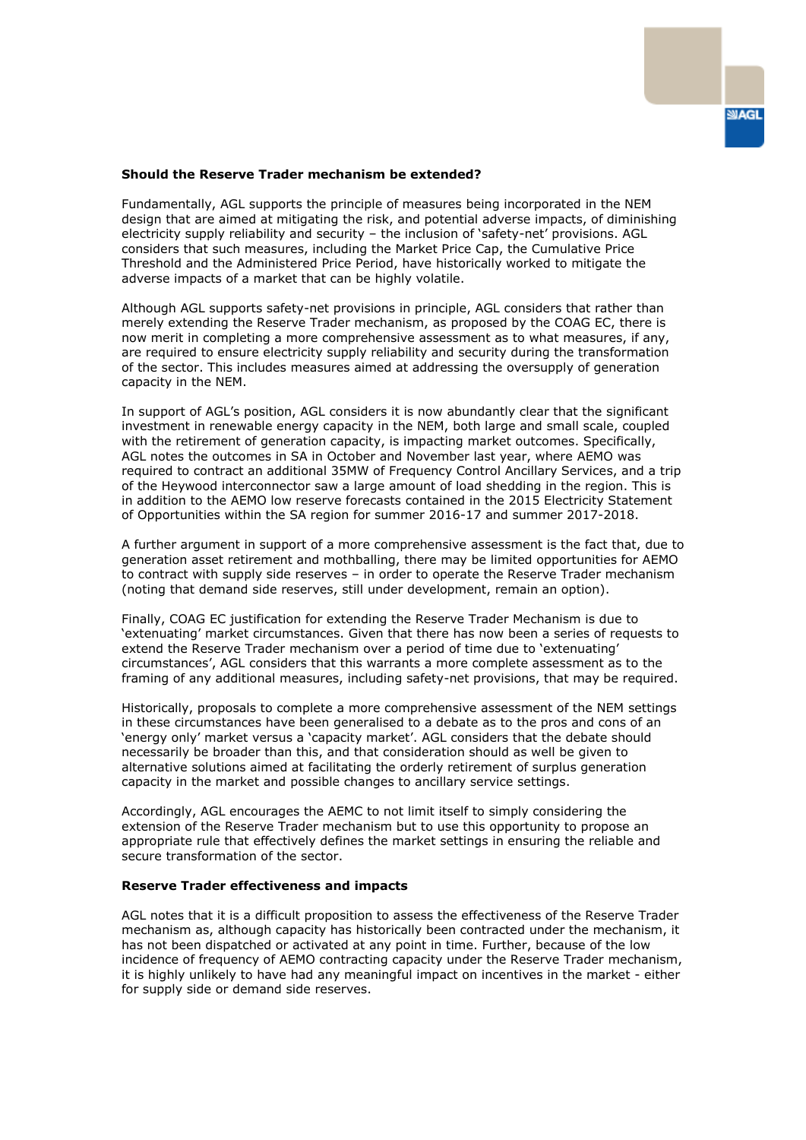

## **Should the Reserve Trader mechanism be extended?**

Fundamentally, AGL supports the principle of measures being incorporated in the NEM design that are aimed at mitigating the risk, and potential adverse impacts, of diminishing electricity supply reliability and security – the inclusion of 'safety-net' provisions. AGL considers that such measures, including the Market Price Cap, the Cumulative Price Threshold and the Administered Price Period, have historically worked to mitigate the adverse impacts of a market that can be highly volatile.

Although AGL supports safety-net provisions in principle, AGL considers that rather than merely extending the Reserve Trader mechanism, as proposed by the COAG EC, there is now merit in completing a more comprehensive assessment as to what measures, if any, are required to ensure electricity supply reliability and security during the transformation of the sector. This includes measures aimed at addressing the oversupply of generation capacity in the NEM.

In support of AGL's position, AGL considers it is now abundantly clear that the significant investment in renewable energy capacity in the NEM, both large and small scale, coupled with the retirement of generation capacity, is impacting market outcomes. Specifically, AGL notes the outcomes in SA in October and November last year, where AEMO was required to contract an additional 35MW of Frequency Control Ancillary Services, and a trip of the Heywood interconnector saw a large amount of load shedding in the region. This is in addition to the AEMO low reserve forecasts contained in the 2015 Electricity Statement of Opportunities within the SA region for summer 2016-17 and summer 2017-2018.

A further argument in support of a more comprehensive assessment is the fact that, due to generation asset retirement and mothballing, there may be limited opportunities for AEMO to contract with supply side reserves – in order to operate the Reserve Trader mechanism (noting that demand side reserves, still under development, remain an option).

Finally, COAG EC justification for extending the Reserve Trader Mechanism is due to 'extenuating' market circumstances. Given that there has now been a series of requests to extend the Reserve Trader mechanism over a period of time due to 'extenuating' circumstances', AGL considers that this warrants a more complete assessment as to the framing of any additional measures, including safety-net provisions, that may be required.

Historically, proposals to complete a more comprehensive assessment of the NEM settings in these circumstances have been generalised to a debate as to the pros and cons of an 'energy only' market versus a 'capacity market'. AGL considers that the debate should necessarily be broader than this, and that consideration should as well be given to alternative solutions aimed at facilitating the orderly retirement of surplus generation capacity in the market and possible changes to ancillary service settings.

Accordingly, AGL encourages the AEMC to not limit itself to simply considering the extension of the Reserve Trader mechanism but to use this opportunity to propose an appropriate rule that effectively defines the market settings in ensuring the reliable and secure transformation of the sector.

## **Reserve Trader effectiveness and impacts**

AGL notes that it is a difficult proposition to assess the effectiveness of the Reserve Trader mechanism as, although capacity has historically been contracted under the mechanism, it has not been dispatched or activated at any point in time. Further, because of the low incidence of frequency of AEMO contracting capacity under the Reserve Trader mechanism, it is highly unlikely to have had any meaningful impact on incentives in the market - either for supply side or demand side reserves.